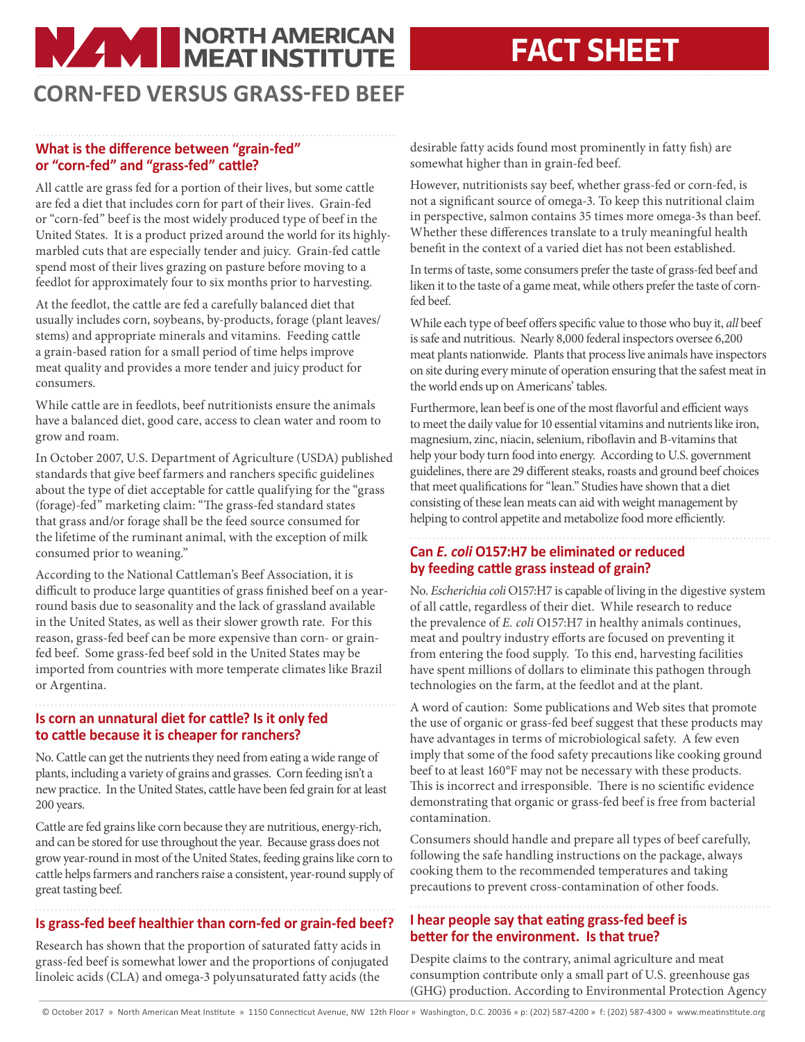# **NAME NORTH AMERICAN**

## **FACT SHEET**

### **CORN-FED VERSUS GRASS-FED BEEF**

#### **What is the difference between "grain-fed" or "corn-fed" and "grass-fed" cattle?**

All cattle are grass fed for a portion of their lives, but some cattle are fed a diet that includes corn for part of their lives. Grain-fed or "corn-fed" beef is the most widely produced type of beef in the United States. It is a product prized around the world for its highlymarbled cuts that are especially tender and juicy. Grain-fed cattle spend most of their lives grazing on pasture before moving to a feedlot for approximately four to six months prior to harvesting.

At the feedlot, the cattle are fed a carefully balanced diet that usually includes corn, soybeans, by-products, forage (plant leaves/ stems) and appropriate minerals and vitamins. Feeding cattle a grain-based ration for a small period of time helps improve meat quality and provides a more tender and juicy product for consumers.

While cattle are in feedlots, beef nutritionists ensure the animals have a balanced diet, good care, access to clean water and room to grow and roam.

In October 2007, U.S. Department of Agriculture (USDA) published standards that give beef farmers and ranchers specific guidelines about the type of diet acceptable for cattle qualifying for the "grass (forage)-fed" marketing claim: "The grass-fed standard states that grass and/or forage shall be the feed source consumed for the lifetime of the ruminant animal, with the exception of milk consumed prior to weaning."

According to the National Cattleman's Beef Association, it is difficult to produce large quantities of grass finished beef on a yearround basis due to seasonality and the lack of grassland available in the United States, as well as their slower growth rate. For this reason, grass-fed beef can be more expensive than corn- or grainfed beef. Some grass-fed beef sold in the United States may be imported from countries with more temperate climates like Brazil or Argentina.

#### **Is corn an unnatural diet for cattle? Is it only fed to cattle because it is cheaper for ranchers?**

No. Cattle can get the nutrients they need from eating a wide range of plants, including a variety of grains and grasses. Corn feeding isn't a new practice. In the United States, cattle have been fed grain for at least 200 years.

Cattle are fed grains like corn because they are nutritious, energy-rich, and can be stored for use throughout the year. Because grass does not grow year-round in most of the United States, feeding grains like corn to cattle helps farmers and ranchers raise a consistent, year-round supply of great tasting beef.

#### **Is grass-fed beef healthier than corn-fed or grain-fed beef?**

Research has shown that the proportion of saturated fatty acids in grass-fed beef is somewhat lower and the proportions of conjugated linoleic acids (CLA) and omega-3 polyunsaturated fatty acids (the

desirable fatty acids found most prominently in fatty fish) are somewhat higher than in grain-fed beef.

However, nutritionists say beef, whether grass-fed or corn-fed, is not a significant source of omega-3. To keep this nutritional claim in perspective, salmon contains 35 times more omega-3s than beef. Whether these differences translate to a truly meaningful health benefit in the context of a varied diet has not been established.

In terms of taste, some consumers prefer the taste of grass-fed beef and liken it to the taste of a game meat, while others prefer the taste of cornfed beef.

While each type of beef offers specific value to those who buy it, *all* beef is safe and nutritious. Nearly 8,000 federal inspectors oversee 6,200 meat plants nationwide. Plants that process live animals have inspectors on site during every minute of operation ensuring that the safest meat in the world ends up on Americans' tables.

Furthermore, lean beef is one of the most flavorful and efficient ways to meet the daily value for 10 essential vitamins and nutrients like iron, magnesium, zinc, niacin, selenium, riboflavin and B-vitamins that help your body turn food into energy. According to U.S. government guidelines, there are 29 different steaks, roasts and ground beef choices that meet qualifications for "lean." Studies have shown that a diet consisting of these lean meats can aid with weight management by helping to control appetite and metabolize food more efficiently.

**Can** *E. coli* **O157:H7 be eliminated or reduced by feeding cattle grass instead of grain?**

No. *Escherichia coli* O157:H7 is capable of living in the digestive system of all cattle, regardless of their diet. While research to reduce the prevalence of *E. coli* O157:H7 in healthy animals continues, meat and poultry industry efforts are focused on preventing it from entering the food supply. To this end, harvesting facilities have spent millions of dollars to eliminate this pathogen through technologies on the farm, at the feedlot and at the plant.

A word of caution: Some publications and Web sites that promote the use of organic or grass-fed beef suggest that these products may have advantages in terms of microbiological safety. A few even imply that some of the food safety precautions like cooking ground beef to at least 160°F may not be necessary with these products. This is incorrect and irresponsible. There is no scientific evidence demonstrating that organic or grass-fed beef is free from bacterial contamination.

Consumers should handle and prepare all types of beef carefully, following the safe handling instructions on the package, always cooking them to the recommended temperatures and taking precautions to prevent cross-contamination of other foods.

#### **I hear people say that eating grass-fed beef is better for the environment. Is that true?**

Despite claims to the contrary, animal agriculture and meat consumption contribute only a small part of U.S. greenhouse gas (GHG) production. According to Environmental Protection Agency